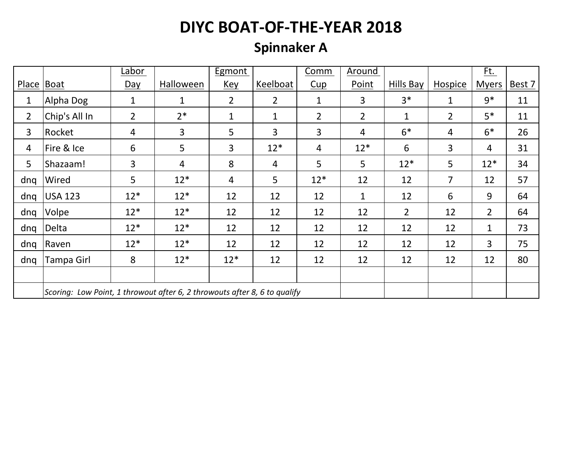### **Spinnaker A**

|                |                                                                           | Labor        |              | Egmont         |                | Comm           | Around         |                |                | Ft.            |        |
|----------------|---------------------------------------------------------------------------|--------------|--------------|----------------|----------------|----------------|----------------|----------------|----------------|----------------|--------|
| Place          | Boat                                                                      | $Day$        | Halloween    | <b>Key</b>     | Keelboat       | Cup            | Point          | Hills Bay      | <b>Hospice</b> | <b>Myers</b>   | Best 7 |
| 1              | Alpha Dog                                                                 | $\mathbf{1}$ | $\mathbf{1}$ | $\overline{2}$ | $\overline{2}$ | $\mathbf{1}$   | 3              | $3*$           | $\mathbf{1}$   | $9*$           | 11     |
| $\overline{2}$ | Chip's All In                                                             | $2^{\circ}$  | $2*$         | $\mathbf{1}$   | $\mathbf{1}$   | $\overline{2}$ | $\overline{2}$ | 1              | $\overline{2}$ | $5*$           | 11     |
| 3              | Rocket                                                                    | 4            | 3            | 5              | 3              | 3              | 4              | $6*$           | 4              | $6*$           | 26     |
| 4              | Fire & Ice                                                                | 6            | 5            | $\overline{3}$ | $12*$          | 4              | $12*$          | 6              | 3              | 4              | 31     |
| 5              | Shazaam!                                                                  | 3            | 4            | 8              | 4              | 5              | 5              | $12*$          | 5              | $12*$          | 34     |
| dnq            | Wired                                                                     | 5            | $12*$        | $\overline{4}$ | 5              | $12*$          | 12             | 12             | $\overline{7}$ | 12             | 57     |
| dnq            | <b>USA 123</b>                                                            | $12*$        | $12*$        | 12             | 12             | 12             | 1              | 12             | 6              | 9              | 64     |
| dnq            | Volpe                                                                     | $12*$        | $12*$        | 12             | 12             | 12             | 12             | $\overline{2}$ | 12             | $\overline{2}$ | 64     |
| dnq            | Delta                                                                     | $12*$        | $12*$        | 12             | 12             | 12             | 12             | 12             | 12             | $\mathbf{1}$   | 73     |
| dng            | Raven                                                                     | $12*$        | $12*$        | 12             | 12             | 12             | 12             | 12             | 12             | 3              | 75     |
| dng            | Tampa Girl                                                                | 8            | $12*$        | $12*$          | 12             | 12             | 12             | 12             | 12             | 12             | 80     |
|                |                                                                           |              |              |                |                |                |                |                |                |                |        |
|                | Scoring: Low Point, 1 throwout after 6, 2 throwouts after 8, 6 to qualify |              |              |                |                |                |                |                |                |                |        |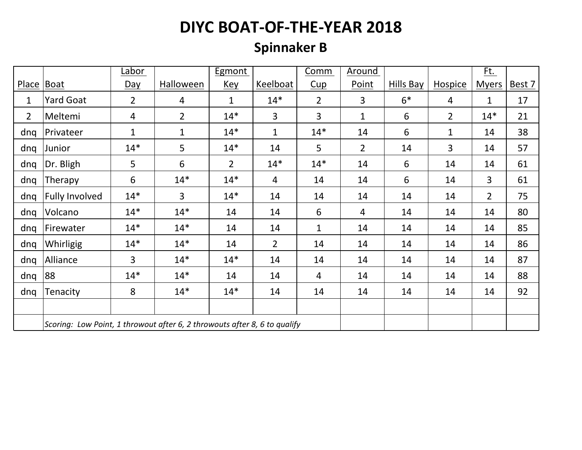### **Spinnaker B**

|                |                                                                           | Labor          |                | <b>Egmont</b> |                | Comm           | <b>Around</b>  |           |                | <u>Ft.</u>     |        |
|----------------|---------------------------------------------------------------------------|----------------|----------------|---------------|----------------|----------------|----------------|-----------|----------------|----------------|--------|
| Place          | <b>Boat</b>                                                               | $Day$          | Halloween      | <b>Key</b>    | Keelboat       | Cup            | Point          | Hills Bay | <b>Hospice</b> | <b>Myers</b>   | Best 7 |
| $\mathbf 1$    | <b>Yard Goat</b>                                                          | $\overline{2}$ | $\overline{4}$ | $\mathbf{1}$  | $14*$          | $\overline{2}$ | 3              | $6*$      | $\overline{4}$ | $\mathbf{1}$   | 17     |
| $\overline{2}$ | Meltemi                                                                   | $\overline{4}$ | $\overline{2}$ | $14*$         | 3              | 3              | $\mathbf{1}$   | 6         | $\overline{2}$ | $14*$          | 21     |
| dnq            | Privateer                                                                 | $\mathbf{1}$   | $\mathbf{1}$   | $14*$         | $\mathbf{1}$   | $14*$          | 14             | 6         | $\mathbf 1$    | 14             | 38     |
| dnq            | Junior                                                                    | $14*$          | 5              | $14*$         | 14             | 5              | $\overline{2}$ | 14        | 3              | 14             | 57     |
| dnq            | Dr. Bligh                                                                 | 5              | 6              | $2^{\circ}$   | $14*$          | $14*$          | 14             | 6         | 14             | 14             | 61     |
| dnq            | Therapy                                                                   | 6              | $14*$          | $14*$         | $\overline{4}$ | 14             | 14             | 6         | 14             | 3              | 61     |
| dnq            | <b>Fully Involved</b>                                                     | $14*$          | $\overline{3}$ | $14*$         | 14             | 14             | 14             | 14        | 14             | $\overline{2}$ | 75     |
| dnq            | Volcano                                                                   | $14*$          | $14*$          | 14            | 14             | 6              | $\overline{4}$ | 14        | 14             | 14             | 80     |
| dng            | Firewater                                                                 | $14*$          | $14*$          | 14            | 14             | $\mathbf{1}$   | 14             | 14        | 14             | 14             | 85     |
| dng            | Whirligig                                                                 | $14*$          | $14*$          | 14            | $\overline{2}$ | 14             | 14             | 14        | 14             | 14             | 86     |
| dnq            | Alliance                                                                  | $\overline{3}$ | $14*$          | $14*$         | 14             | 14             | 14             | 14        | 14             | 14             | 87     |
| dnq            | 88                                                                        | $14*$          | $14*$          | 14            | 14             | 4              | 14             | 14        | 14             | 14             | 88     |
| dng            | Tenacity                                                                  | 8              | $14*$          | $14*$         | 14             | 14             | 14             | 14        | 14             | 14             | 92     |
|                |                                                                           |                |                |               |                |                |                |           |                |                |        |
|                | Scoring: Low Point, 1 throwout after 6, 2 throwouts after 8, 6 to qualify |                |                |               |                |                |                |           |                |                |        |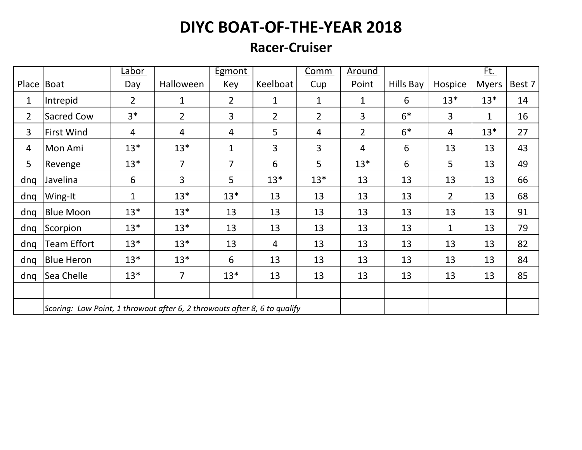#### **Racer-Cruiser**

|                |                                                                           | Labor          |                | <b>Egmont</b>  |                | Comm           | Around         |           |                | Ft.          |        |
|----------------|---------------------------------------------------------------------------|----------------|----------------|----------------|----------------|----------------|----------------|-----------|----------------|--------------|--------|
| <b>Place</b>   | Boat                                                                      | $Day$          | Halloween      | <u>Key</u>     | Keelboat       | Cup            | Point          | Hills Bay | <b>Hospice</b> | <b>Myers</b> | Best 7 |
| 1              | Intrepid                                                                  | $\overline{2}$ | 1              | $\overline{2}$ | $\mathbf 1$    | $\mathbf{1}$   | 1              | 6         | $13*$          | $13*$        | 14     |
| $\overline{2}$ | Sacred Cow                                                                | $3*$           | $\overline{2}$ | $\overline{3}$ | $\overline{2}$ | $\overline{2}$ | 3              | $6*$      | 3              | $\mathbf{1}$ | 16     |
| 3              | <b>First Wind</b>                                                         | $\overline{4}$ | 4              | $\overline{4}$ | 5              | 4              | $\overline{2}$ | $6*$      | 4              | $13*$        | 27     |
| 4              | Mon Ami                                                                   | $13*$          | $13*$          | $\mathbf{1}$   | $\overline{3}$ | 3              | $\overline{4}$ | 6         | 13             | 13           | 43     |
| 5              | Revenge                                                                   | $13*$          | $\overline{7}$ | $\overline{7}$ | 6              | 5              | $13*$          | 6         | 5              | 13           | 49     |
| dnq            | Javelina                                                                  | 6              | 3              | 5              | $13*$          | $13*$          | 13             | 13        | 13             | 13           | 66     |
| dnq            | Wing-It                                                                   | 1              | $13*$          | $13*$          | 13             | 13             | 13             | 13        | $\overline{2}$ | 13           | 68     |
| dng            | <b>Blue Moon</b>                                                          | $13*$          | $13*$          | 13             | 13             | 13             | 13             | 13        | 13             | 13           | 91     |
| dng            | Scorpion                                                                  | $13*$          | $13*$          | 13             | 13             | 13             | 13             | 13        | $\mathbf{1}$   | 13           | 79     |
| dng            | <b>Team Effort</b>                                                        | $13*$          | $13*$          | 13             | 4              | 13             | 13             | 13        | 13             | 13           | 82     |
| dng            | <b>Blue Heron</b>                                                         | $13*$          | $13*$          | 6              | 13             | 13             | 13             | 13        | 13             | 13           | 84     |
| dnq            | Sea Chelle                                                                | $13*$          | $\overline{7}$ | $13*$          | 13             | 13             | 13             | 13        | 13             | 13           | 85     |
|                |                                                                           |                |                |                |                |                |                |           |                |              |        |
|                | Scoring: Low Point, 1 throwout after 6, 2 throwouts after 8, 6 to qualify |                |                |                |                |                |                |           |                |              |        |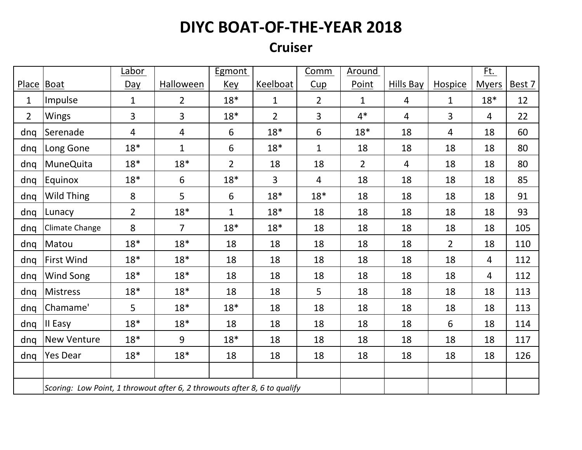#### **Cruiser**

|                |                                                                           | Labor          |                | Egmont         |                | Comm           | Around         |                |                | <u>Ft.</u>     |        |
|----------------|---------------------------------------------------------------------------|----------------|----------------|----------------|----------------|----------------|----------------|----------------|----------------|----------------|--------|
| <b>Place</b>   | Boat                                                                      | Day            | Halloween      | Key            | Keelboat       | Cup            | Point          | Hills Bay      | <b>Hospice</b> | <b>Myers</b>   | Best 7 |
| $\mathbf{1}$   | Impulse                                                                   | $\mathbf{1}$   | $\overline{2}$ | $18*$          | $\mathbf 1$    | $\overline{2}$ | $\mathbf{1}$   | $\overline{4}$ | $\mathbf{1}$   | $18*$          | 12     |
| $\overline{2}$ | <b>Wings</b>                                                              | 3              | 3              | $18*$          | $\overline{2}$ | 3              | $4*$           | $\overline{4}$ | 3              | $\overline{4}$ | 22     |
| dng            | Serenade                                                                  | 4              | 4              | 6              | $18*$          | 6              | $18*$          | 18             | 4              | 18             | 60     |
| dnq            | Long Gone                                                                 | $18*$          | $\mathbf{1}$   | 6              | $18*$          | $\mathbf{1}$   | 18             | 18             | 18             | 18             | 80     |
| dnq            | <b>MuneQuita</b>                                                          | $18*$          | $18*$          | $\overline{2}$ | 18             | 18             | $\overline{2}$ | $\overline{4}$ | 18             | 18             | 80     |
| dnq            | <b>Equinox</b>                                                            | $18*$          | 6              | $18*$          | 3              | 4              | 18             | 18             | 18             | 18             | 85     |
| dnq            | Wild Thing                                                                | 8              | 5              | 6              | $18*$          | $18*$          | 18             | 18             | 18             | 18             | 91     |
| dnq            | Lunacy                                                                    | $\overline{2}$ | $18*$          | $\mathbf{1}$   | $18*$          | 18             | 18             | 18             | 18             | 18             | 93     |
| dng            | Climate Change                                                            | 8              | $\overline{7}$ | $18*$          | $18*$          | 18             | 18             | 18             | 18             | 18             | 105    |
| dnq            | Matou                                                                     | $18*$          | $18*$          | 18             | 18             | 18             | 18             | 18             | $2^{\circ}$    | 18             | 110    |
| dnq            | <b>First Wind</b>                                                         | $18*$          | $18*$          | 18             | 18             | 18             | 18             | 18             | 18             | 4              | 112    |
| dnq            | Wind Song                                                                 | $18*$          | $18*$          | 18             | 18             | 18             | 18             | 18             | 18             | 4              | 112    |
| dnq            | Mistress                                                                  | $18*$          | $18*$          | 18             | 18             | 5              | 18             | 18             | 18             | 18             | 113    |
| dnq            | Chamame'                                                                  | 5              | $18*$          | $18*$          | 18             | 18             | 18             | 18             | 18             | 18             | 113    |
| dnq            | II Easy                                                                   | $18*$          | $18*$          | 18             | 18             | 18             | 18             | 18             | 6              | 18             | 114    |
| dnq            | <b>New Venture</b>                                                        | $18*$          | 9              | $18*$          | 18             | 18             | 18             | 18             | 18             | 18             | 117    |
| dnq            | Yes Dear                                                                  | $18*$          | $18*$          | 18             | 18             | 18             | 18             | 18             | 18             | 18             | 126    |
|                |                                                                           |                |                |                |                |                |                |                |                |                |        |
|                | Scoring: Low Point, 1 throwout after 6, 2 throwouts after 8, 6 to qualify |                |                |                |                |                |                |                |                |                |        |